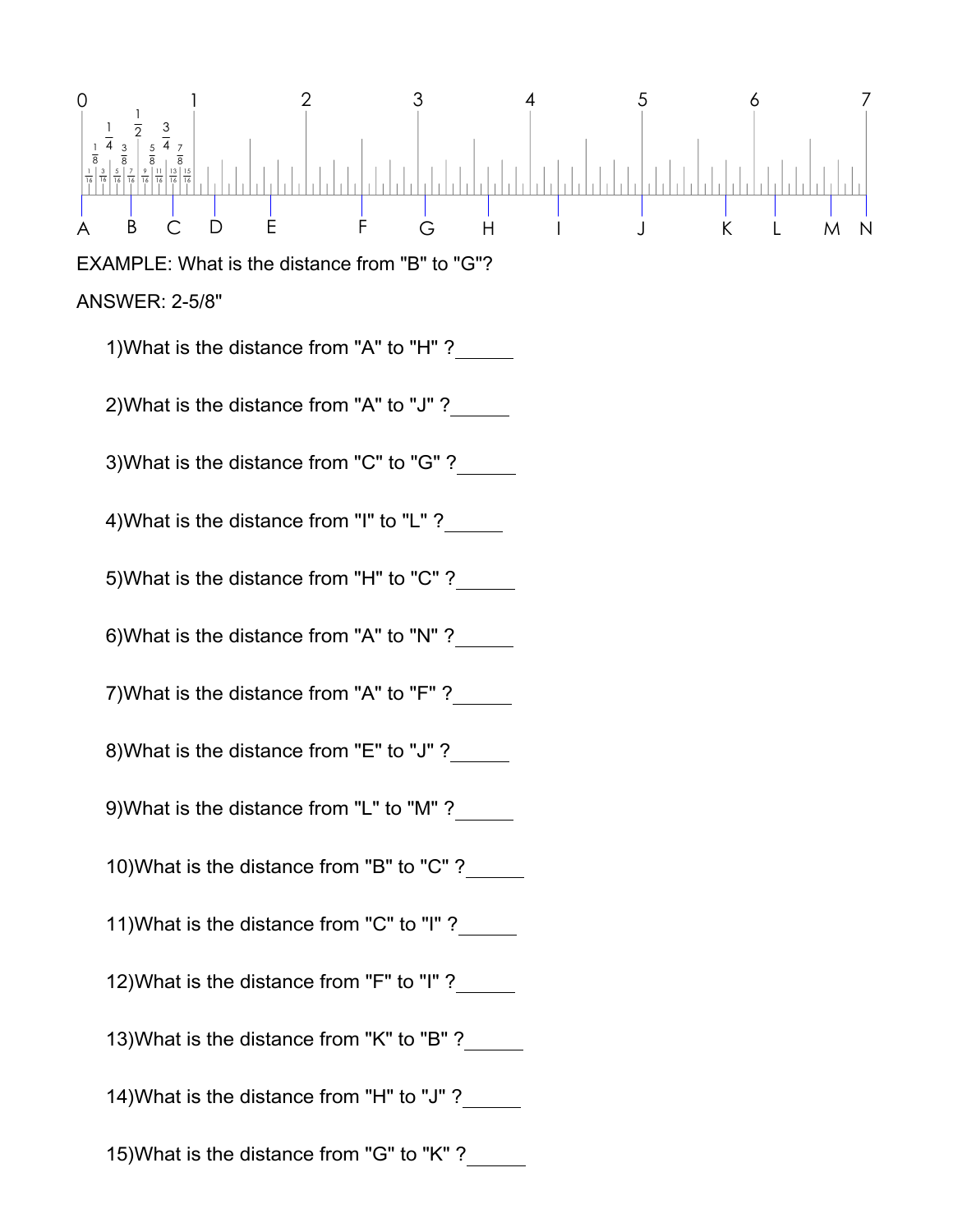